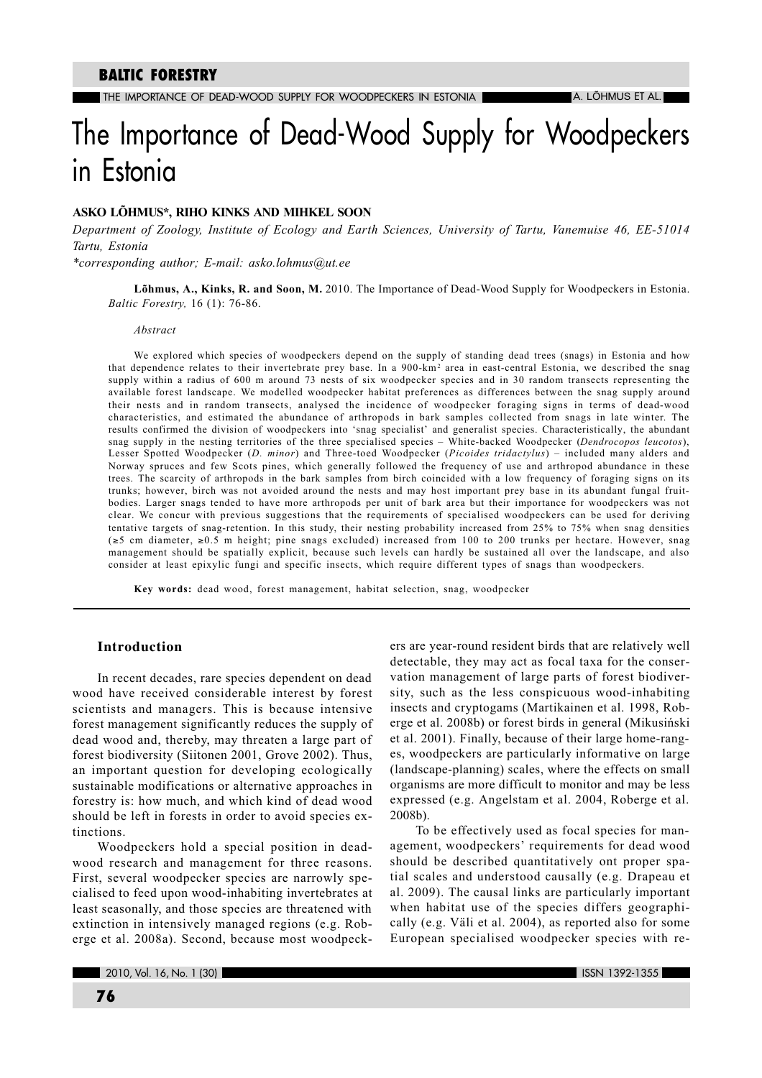# The Importance of Dead-Wood Supply for Woodpeckers in Estonia

# ASKO LÕHMUS\*, RIHO KINKS AND MIHKEL SOON

Department of Zoology, Institute of Ecology and Earth Sciences, University of Tartu, Vanemuise 46, EE-51014 Tartu, Estonia

\*corresponding author; E-mail: asko.lohmus@ut.ee

Lõhmus, A., Kinks, R. and Soon, M. 2010. The Importance of Dead-Wood Supply for Woodpeckers in Estonia. Baltic Forestry, 16 (1): 76-86.

#### Abstract

We explored which species of woodpeckers depend on the supply of standing dead trees (snags) in Estonia and how that dependence relates to their invertebrate prey base. In a 900-km<sup>2</sup> area in east-central Estonia, we described the snag supply within a radius of 600 m around 73 nests of six woodpecker species and in 30 random transects representing the available forest landscape. We modelled woodpecker habitat preferences as differences between the snag supply around their nests and in random transects, analysed the incidence of woodpecker foraging signs in terms of dead-wood characteristics, and estimated the abundance of arthropods in bark samples collected from snags in late winter. The results confirmed the division of woodpeckers into 'snag specialist' and generalist species. Characteristically, the abundant snag supply in the nesting territories of the three specialised species - White-backed Woodpecker (Dendrocopos leucotos), Lesser Spotted Woodpecker (D. minor) and Three-toed Woodpecker (Picoides tridactylus) - included many alders and Norway spruces and few Scots pines, which generally followed the frequency of use and arthropod abundance in these trees. The scarcity of arthropods in the bark samples from birch coincided with a low frequency of foraging signs on its trunks; however, birch was not avoided around the nests and may host important prey base in its abundant fungal fruitbodies. Larger snags tended to have more arthropods per unit of bark area but their importance for woodpeckers was not clear. We concur with previous suggestions that the requirements of specialised woodpeckers can be used for deriving tentative targets of snag-retention. In this study, their nesting probability increased from 25% to 75% when snag densities  $(\ge 5 \text{ cm diameter}, \ge 0.5 \text{ m height})$  pine snags excluded) increased from 100 to 200 trunks per hectare. However, snag management should be spatially explicit, because such levels can hardly be sustained all over the landscape, and also consider at least epixylic fungi and specific insects, which require different types of snags than woodpeckers.

Key words: dead wood, forest management, habitat selection, snag, woodpecker

## **Introduction**

In recent decades, rare species dependent on dead wood have received considerable interest by forest scientists and managers. This is because intensive forest management significantly reduces the supply of dead wood and, thereby, may threaten a large part of forest biodiversity (Siitonen 2001, Grove 2002). Thus, an important question for developing ecologically sustainable modifications or alternative approaches in forestry is: how much, and which kind of dead wood should be left in forests in order to avoid species extinctions.

Woodpeckers hold a special position in deadwood research and management for three reasons. First, several woodpecker species are narrowly specialised to feed upon wood-inhabiting invertebrates at least seasonally, and those species are threatened with extinction in intensively managed regions (e.g. Roberge et al. 2008a). Second, because most woodpeckers are year-round resident birds that are relatively well detectable, they may act as focal taxa for the conservation management of large parts of forest biodiversity, such as the less conspicuous wood-inhabiting insects and cryptogams (Martikainen et al. 1998, Roberge et al. 2008b) or forest birds in general (Mikusiński et al. 2001). Finally, because of their large home-ranges, woodpeckers are particularly informative on large (landscape-planning) scales, where the effects on small organisms are more difficult to monitor and may be less expressed (e.g. Angelstam et al. 2004, Roberge et al.  $2008b$ ).

To be effectively used as focal species for management, woodpeckers' requirements for dead wood should be described quantitatively ont proper spatial scales and understood causally (e.g. Drapeau et al. 2009). The causal links are particularly important when habitat use of the species differs geographically (e.g. Väli et al. 2004), as reported also for some European specialised woodpecker species with re-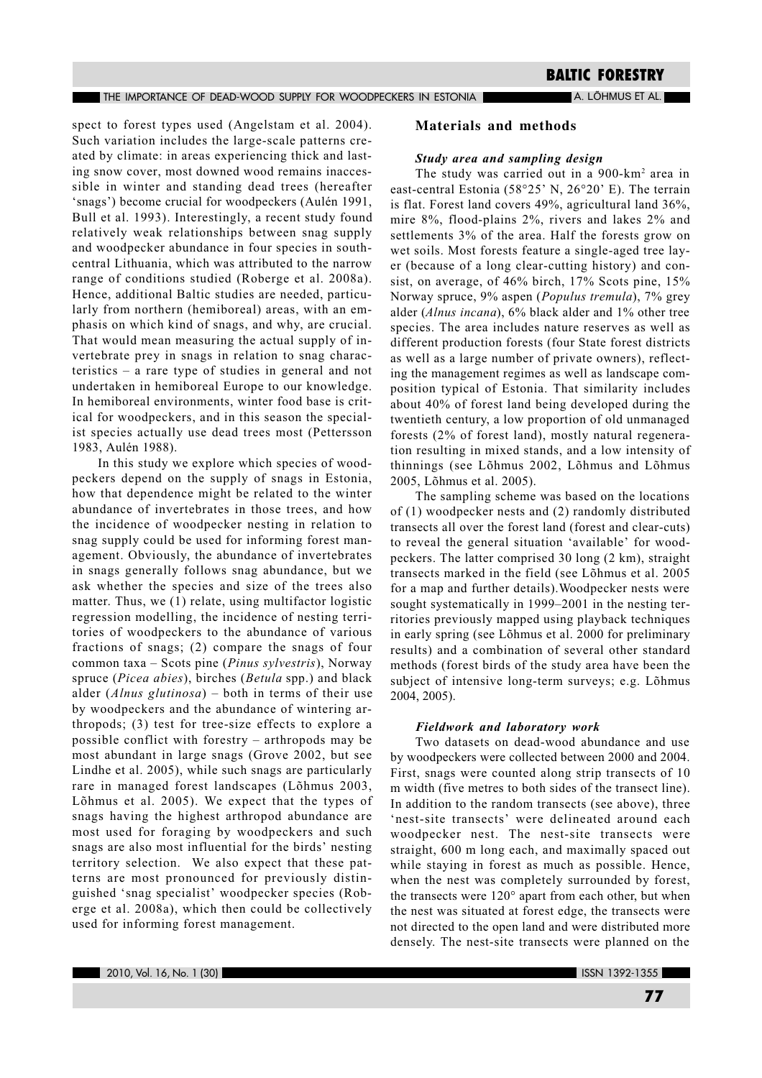A. LÕHMUS ET AL.

spect to forest types used (Angelstam et al. 2004). Such variation includes the large-scale patterns created by climate: in areas experiencing thick and lasting snow cover, most downed wood remains inaccessible in winter and standing dead trees (hereafter 'snags') become crucial for woodpeckers (Aulén 1991, Bull et al. 1993). Interestingly, a recent study found relatively weak relationships between snag supply and woodpecker abundance in four species in southcentral Lithuania, which was attributed to the narrow range of conditions studied (Roberge et al. 2008a). Hence, additional Baltic studies are needed, particularly from northern (hemiboreal) areas, with an emphasis on which kind of snags, and why, are crucial. That would mean measuring the actual supply of invertebrate prey in snags in relation to snag characteristics  $-$  a rare type of studies in general and not undertaken in hemiboreal Europe to our knowledge. In hemiboreal environments, winter food base is critical for woodpeckers, and in this season the specialist species actually use dead trees most (Pettersson 1983, Aulén 1988).

In this study we explore which species of woodpeckers depend on the supply of snags in Estonia, how that dependence might be related to the winter abundance of invertebrates in those trees, and how the incidence of woodpecker nesting in relation to snag supply could be used for informing forest management. Obviously, the abundance of invertebrates in snags generally follows snag abundance, but we ask whether the species and size of the trees also matter. Thus, we (1) relate, using multifactor logistic regression modelling, the incidence of nesting territories of woodpeckers to the abundance of various fractions of snags; (2) compare the snags of four common taxa - Scots pine (Pinus sylvestris), Norway spruce (Picea abies), birches (Betula spp.) and black alder (Alnus glutinosa) – both in terms of their use by woodpeckers and the abundance of wintering arthropods; (3) test for tree-size effects to explore a possible conflict with forestry – arthropods may be most abundant in large snags (Grove 2002, but see Lindhe et al. 2005), while such snags are particularly rare in managed forest landscapes (Lõhmus 2003, Lõhmus et al. 2005). We expect that the types of snags having the highest arthropod abundance are most used for foraging by woodpeckers and such snags are also most influential for the birds' nesting territory selection. We also expect that these patterns are most pronounced for previously distinguished 'snag specialist' woodpecker species (Roberge et al. 2008a), which then could be collectively used for informing forest management.

# **Materials and methods**

### Study area and sampling design

The study was carried out in a 900-km<sup>2</sup> area in east-central Estonia (58°25' N, 26°20' E). The terrain is flat. Forest land covers 49%, agricultural land 36%, mire 8%, flood-plains 2%, rivers and lakes 2% and settlements 3% of the area. Half the forests grow on wet soils. Most forests feature a single-aged tree layer (because of a long clear-cutting history) and consist, on average, of 46% birch, 17% Scots pine, 15% Norway spruce, 9% aspen (*Populus tremula*), 7% grey alder (Alnus incana), 6% black alder and 1% other tree species. The area includes nature reserves as well as different production forests (four State forest districts as well as a large number of private owners), reflecting the management regimes as well as landscape composition typical of Estonia. That similarity includes about 40% of forest land being developed during the twentieth century, a low proportion of old unmanaged forests (2% of forest land), mostly natural regeneration resulting in mixed stands, and a low intensity of thinnings (see Lõhmus 2002, Lõhmus and Lõhmus 2005, Lõhmus et al. 2005).

The sampling scheme was based on the locations of  $(1)$  woodpecker nests and  $(2)$  randomly distributed transects all over the forest land (forest and clear-cuts) to reveal the general situation 'available' for woodpeckers. The latter comprised 30 long (2 km), straight transects marked in the field (see Lõhmus et al. 2005 for a map and further details). Woodpecker nests were sought systematically in 1999-2001 in the nesting territories previously mapped using playback techniques in early spring (see Lõhmus et al. 2000 for preliminary results) and a combination of several other standard methods (forest birds of the study area have been the subject of intensive long-term surveys; e.g. Lõhmus 2004, 2005).

#### **Fieldwork and laboratory work**

Two datasets on dead-wood abundance and use by woodpeckers were collected between 2000 and 2004. First, snags were counted along strip transects of 10 m width (five metres to both sides of the transect line). In addition to the random transects (see above), three 'nest-site transects' were delineated around each woodpecker nest. The nest-site transects were straight, 600 m long each, and maximally spaced out while staying in forest as much as possible. Hence, when the nest was completely surrounded by forest, the transects were 120° apart from each other, but when the nest was situated at forest edge, the transects were not directed to the open land and were distributed more densely. The nest-site transects were planned on the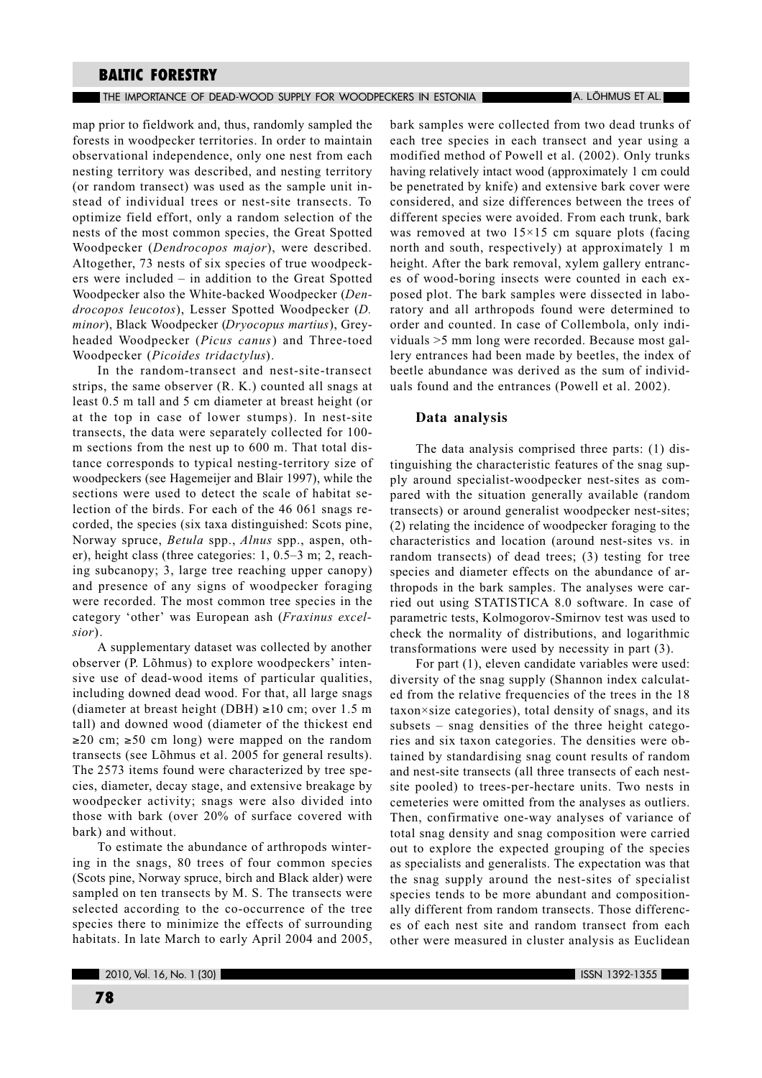#### The importance of dead-wood supply for woodpeckers in estonia The Theory A. Löhmus et al.

map prior to fieldwork and, thus, randomly sampled the forests in woodpecker territories. In order to maintain observational independence, only one nest from each nesting territory was described, and nesting territory (or random transect) was used as the sample unit instead of individual trees or nest-site transects. To optimize field effort, only a random selection of the nests of the most common species, the Great Spotted Woodpecker (Dendrocopos major), were described. Altogether, 73 nests of six species of true woodpeckers were included – in addition to the Great Spotted Woodpecker also the White-backed Woodpecker (Dendrocopos leucotos), Lesser Spotted Woodpecker (D. minor), Black Woodpecker (Dryocopus martius), Greyheaded Woodpecker (Picus canus) and Three-toed Woodpecker (Picoides tridactylus).

In the random-transect and nest-site-transect strips, the same observer (R, K,) counted all snags at least 0.5 m tall and 5 cm diameter at breast height (or at the top in case of lower stumps). In nest-site transects, the data were separately collected for 100m sections from the nest up to 600 m. That total distance corresponds to typical nesting-territory size of woodpeckers (see Hagemeijer and Blair 1997), while the sections were used to detect the scale of habitat selection of the birds. For each of the 46 061 snags recorded, the species (six taxa distinguished: Scots pine, Norway spruce, Betula spp., Alnus spp., aspen, other), height class (three categories:  $1, 0.5-3$  m;  $2$ , reaching subcanopy; 3, large tree reaching upper canopy) and presence of any signs of woodpecker foraging were recorded. The most common tree species in the category 'other' was European ash (Fraxinus excel $sior$ ).

A supplementary dataset was collected by another observer (P. Lõhmus) to explore woodpeckers' intensive use of dead-wood items of particular qualities, including downed dead wood. For that, all large snags (diameter at breast height (DBH)  $\geq 10$  cm; over 1.5 m tall) and downed wood (diameter of the thickest end  $\geq$ 20 cm;  $\geq$ 50 cm long) were mapped on the random transects (see Lõhmus et al. 2005 for general results). The 2573 items found were characterized by tree species, diameter, decay stage, and extensive breakage by woodpecker activity; snags were also divided into those with bark (over 20% of surface covered with bark) and without.

To estimate the abundance of arthropods wintering in the snags, 80 trees of four common species (Scots pine, Norway spruce, birch and Black alder) were sampled on ten transects by M. S. The transects were selected according to the co-occurrence of the tree species there to minimize the effects of surrounding habitats. In late March to early April 2004 and 2005, bark samples were collected from two dead trunks of each tree species in each transect and year using a modified method of Powell et al. (2002). Only trunks having relatively intact wood (approximately 1 cm could be penetrated by knife) and extensive bark cover were considered, and size differences between the trees of different species were avoided. From each trunk, bark was removed at two  $15 \times 15$  cm square plots (facing north and south, respectively) at approximately 1 m height. After the bark removal, xylem gallery entrances of wood-boring insects were counted in each exposed plot. The bark samples were dissected in laboratory and all arthropods found were determined to order and counted. In case of Collembola, only individuals >5 mm long were recorded. Because most gallery entrances had been made by beetles, the index of beetle abundance was derived as the sum of individuals found and the entrances (Powell et al. 2002).

## Data analysis

The data analysis comprised three parts: (1) distinguishing the characteristic features of the snag supply around specialist-woodpecker nest-sites as compared with the situation generally available (random transects) or around generalist woodpecker nest-sites; (2) relating the incidence of woodpecker foraging to the characteristics and location (around nest-sites vs. in random transects) of dead trees; (3) testing for tree species and diameter effects on the abundance of arthropods in the bark samples. The analyses were carried out using STATISTICA 8.0 software. In case of parametric tests, Kolmogorov-Smirnov test was used to check the normality of distributions, and logarithmic transformations were used by necessity in part (3).

For part (1), eleven candidate variables were used: diversity of the snag supply (Shannon index calculated from the relative frequencies of the trees in the 18 taxon×size categories), total density of snags, and its subsets - snag densities of the three height categories and six taxon categories. The densities were obtained by standardising snag count results of random and nest-site transects (all three transects of each nestsite pooled) to trees-per-hectare units. Two nests in cemeteries were omitted from the analyses as outliers. Then, confirmative one-way analyses of variance of total snag density and snag composition were carried out to explore the expected grouping of the species as specialists and generalists. The expectation was that the snag supply around the nest-sites of specialist species tends to be more abundant and compositionally different from random transects. Those differences of each nest site and random transect from each other were measured in cluster analysis as Euclidean

٠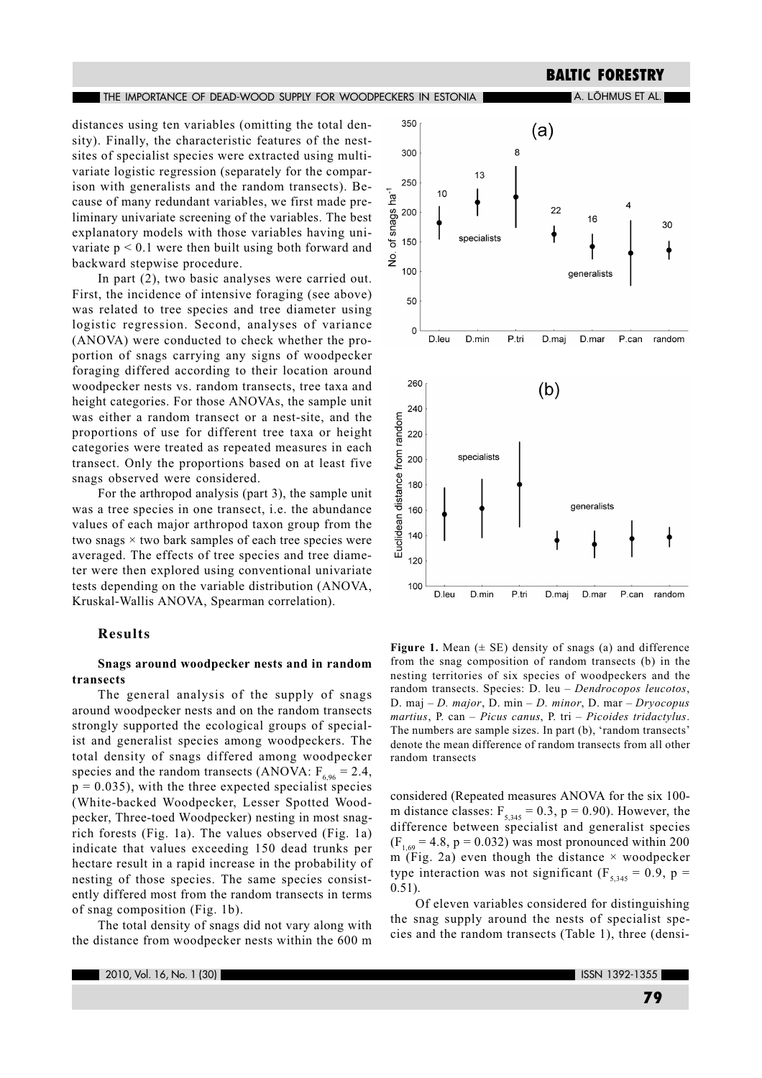distances using ten variables (omitting the total density). Finally, the characteristic features of the nestsites of specialist species were extracted using multivariate logistic regression (separately for the comparison with generalists and the random transects). Because of many redundant variables, we first made preliminary univariate screening of the variables. The best explanatory models with those variables having univariate  $p < 0.1$  were then built using both forward and backward stepwise procedure.

THE IMPORTANCE OF DEAD-WOOD SUPPLY FOR WOODPECKERS IN ESTONIA

In part (2), two basic analyses were carried out. First, the incidence of intensive foraging (see above) was related to tree species and tree diameter using logistic regression. Second, analyses of variance (ANOVA) were conducted to check whether the proportion of snags carrying any signs of woodpecker foraging differed according to their location around woodpecker nests vs. random transects, tree taxa and height categories. For those ANOVAs, the sample unit was either a random transect or a nest-site, and the proportions of use for different tree taxa or height categories were treated as repeated measures in each transect. Only the proportions based on at least five snags observed were considered.

For the arthropod analysis (part 3), the sample unit was a tree species in one transect, i.e. the abundance values of each major arthropod taxon group from the two snags  $\times$  two bark samples of each tree species were averaged. The effects of tree species and tree diameter were then explored using conventional univariate tests depending on the variable distribution (ANOVA, Kruskal-Wallis ANOVA, Spearman correlation).

## **Results**

## Snags around woodpecker nests and in random transects

The general analysis of the supply of snags around woodpecker nests and on the random transects strongly supported the ecological groups of specialist and generalist species among woodpeckers. The total density of snags differed among woodpecker species and the random transects (ANOVA:  $F_{6.96} = 2.4$ ,  $p = 0.035$ , with the three expected specialist species (White-backed Woodpecker, Lesser Spotted Woodpecker, Three-toed Woodpecker) nesting in most snagrich forests (Fig. 1a). The values observed (Fig. 1a) indicate that values exceeding 150 dead trunks per hectare result in a rapid increase in the probability of nesting of those species. The same species consistently differed most from the random transects in terms of snag composition (Fig. 1b).

The total density of snags did not vary along with the distance from woodpecker nests within the 600 m



**BALTIC FORESTRY** 

A. LÕHMUS ET AL.

Figure 1. Mean  $(± SE)$  density of snags (a) and difference from the snag composition of random transects (b) in the nesting territories of six species of woodpeckers and the random transects. Species: D. leu - Dendrocopos leucotos, D. maj - D. major, D. min - D. minor, D. mar - Dryocopus martius, P. can – Picus canus, P. tri – Picoides tridactylus. The numbers are sample sizes. In part (b), 'random transects' denote the mean difference of random transects from all other random transects

considered (Repeated measures ANOVA for the six 100m distance classes:  $F_{5,345} = 0.3$ ,  $p = 0.90$ ). However, the difference between specialist and generalist species  $(F_{1.69} = 4.8, p = 0.032)$  was most pronounced within 200 m (Fig. 2a) even though the distance  $\times$  woodpecker type interaction was not significant ( $F_{5,345} = 0.9$ , p =  $0.51$ ).

Of eleven variables considered for distinguishing the snag supply around the nests of specialist species and the random transects (Table 1), three (densi-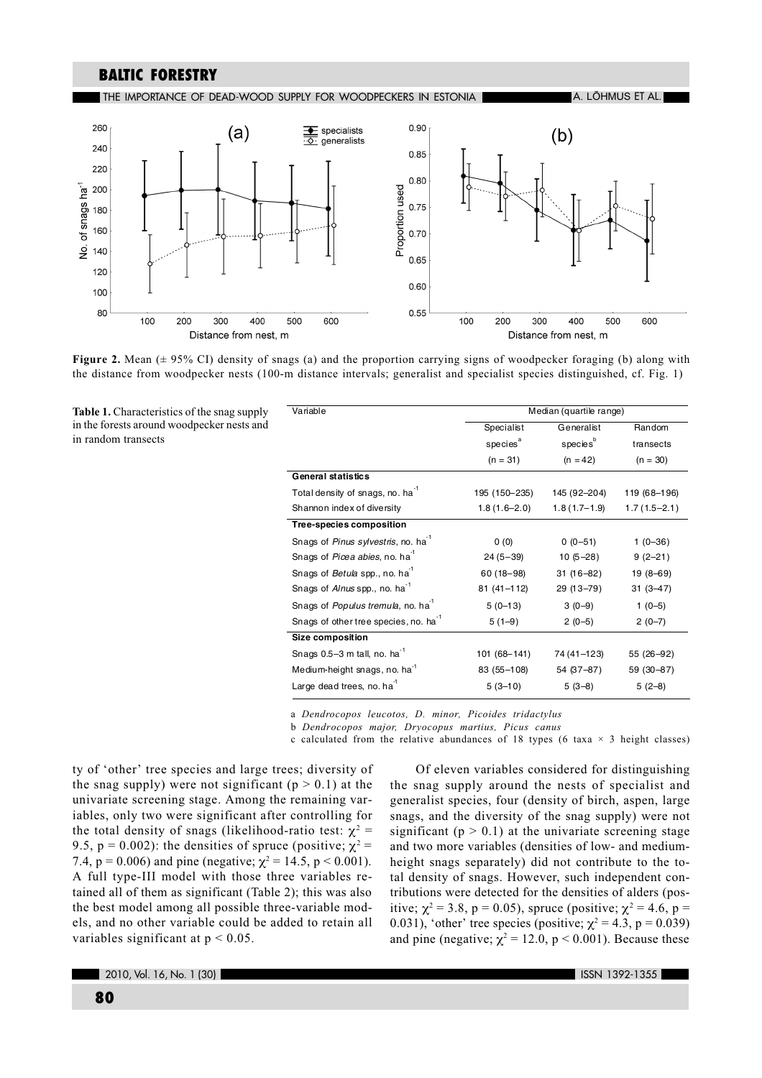THE IMPORTANCE OF DEAD-WOOD SUPPLY FOR WOODPECKERS IN ESTONIA

a. Lõhmus et al.



Figure 2. Mean ( $\pm$  95% CI) density of snags (a) and the proportion carrying signs of woodpecker foraging (b) along with the distance from woodpecker nests (100-m distance intervals; generalist and specialist species distinguished, cf. Fig. 1)

Table 1. Characteristics of the snag supply in the forests around woodpecker nests and in random transects

| Variable                                          | Median (quartile range) |                      |                |  |  |  |
|---------------------------------------------------|-------------------------|----------------------|----------------|--|--|--|
|                                                   | Specialist              | Generalist           | Random         |  |  |  |
|                                                   | species <sup>a</sup>    | species <sup>b</sup> | transects      |  |  |  |
|                                                   | $(n = 31)$              | $(n = 42)$           | $(n = 30)$     |  |  |  |
| <b>General statistics</b>                         |                         |                      |                |  |  |  |
| Total density of snags, no. ha <sup>-1</sup>      | 195 (150-235)           | 145 (92-204)         | 119 (68-196)   |  |  |  |
| Shannon index of diversity                        | $1.8(1.6 - 2.0)$        | $1.8(1.7-1.9)$       | $1.7(1.5-2.1)$ |  |  |  |
| <b>Tree-species composition</b>                   |                         |                      |                |  |  |  |
| Snags of Pinus sylvestris, no. ha <sup>1</sup>    | 0(0)                    | $0(0-51)$            | $1(0-36)$      |  |  |  |
| Snags of Picea abies, no. ha                      | $24(5-39)$              | $10(5-28)$           | $9(2-21)$      |  |  |  |
| Snags of Betula spp., no. ha <sup>1</sup>         | 60 (18-98)              | $31(16-82)$          | $19(8 - 69)$   |  |  |  |
| Snags of Alnus spp., no. ha <sup>1</sup>          | $81(41 - 112)$          | 29 (13-79)           | $31(3 - 47)$   |  |  |  |
| Snags of Populus tremula, no. ha <sup>-1</sup>    | $5(0-13)$               | $3(0-9)$             | $1(0-5)$       |  |  |  |
| Snags of other tree species, no. ha <sup>-1</sup> | $5(1-9)$                | $2(0-5)$             | $2(0-7)$       |  |  |  |
| Size composition                                  |                         |                      |                |  |  |  |
| Snags 0.5-3 m tall, no. ha <sup>-1</sup>          | 101 (68-141)            | 74 (41-123)          | 55 (26-92)     |  |  |  |
| Medium-height snags, no. ha <sup>-1</sup>         | 83 (55-108)             | 54 (37-87)           | 59 (30-87)     |  |  |  |
| Large dead trees, no. ha <sup>1</sup>             | $5(3-10)$               | $5(3-8)$             | $5(2-8)$       |  |  |  |
|                                                   |                         |                      |                |  |  |  |

a Dendrocopos leucotos, D. minor, Picoides tridactylus

b Dendrocopos major, Dryocopus martius, Picus canus

c calculated from the relative abundances of 18 types (6 taxa  $\times$  3 height classes)

ty of 'other' tree species and large trees; diversity of the snag supply) were not significant ( $p > 0.1$ ) at the univariate screening stage. Among the remaining var $i$ ables, only two were significant after controlling for the total density of snags (likelihood-ratio test:  $\chi^2$  = 9.5, p = 0.002): the densities of spruce (positive;  $\chi^2$  = 7.4,  $p = 0.006$ ) and pine (negative;  $\chi^2 = 14.5$ ,  $p < 0.001$ ). A full type-III model with those three variables retained all of them as significant (Table 2); this was also the best model among all possible three-variable models, and no other variable could be added to retain all variables significant at  $p < 0.05$ .

Of eleven variables considered for distinguishing the snag supply around the nests of specialist and generalist species, four (density of birch, aspen, large snags, and the diversity of the snag supply) were not significant ( $p > 0.1$ ) at the univariate screening stage and two more variables (densities of low- and mediumheight snags separately) did not contribute to the total density of snags. However, such independent contributions were detected for the densities of alders (positive;  $\chi^2 = 3.8$ , p = 0.05), spruce (positive;  $\chi^2 = 4.6$ , p = 0.031), 'other' tree species (positive;  $\chi^2 = 4.3$ , p = 0.039) and pine (negative;  $\chi^2 = 12.0$ , p < 0.001). Because these

2010, Vol. 16, No. 1 (30)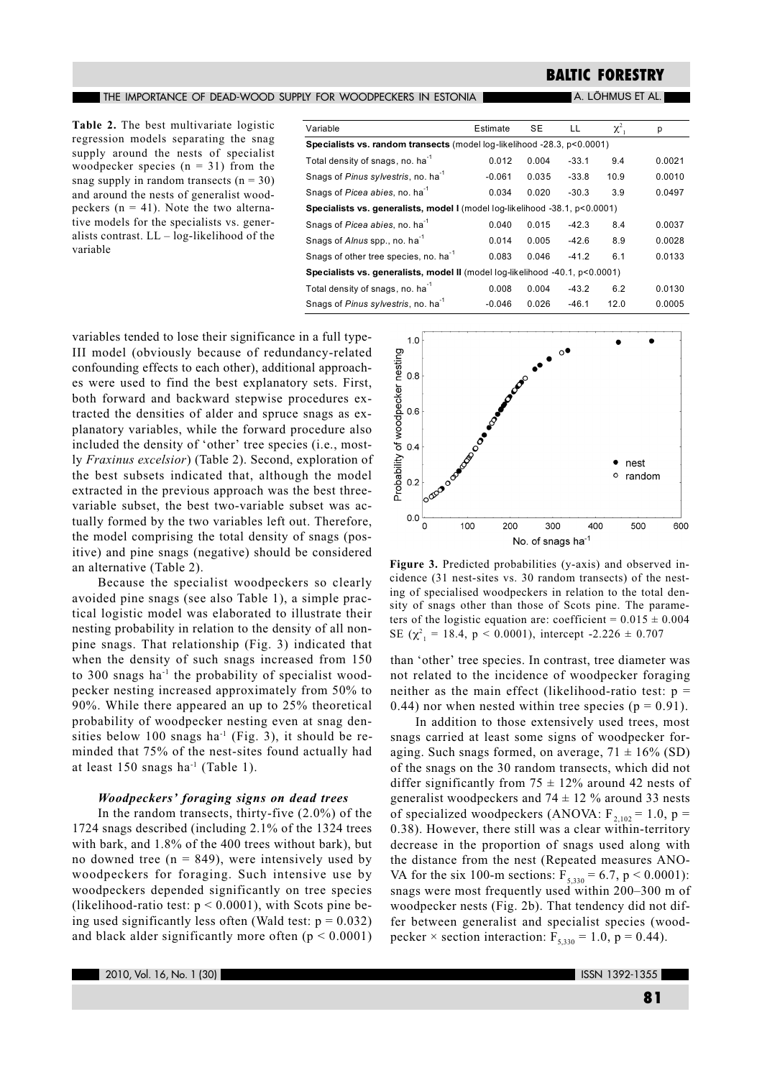THE IMPORTANCE OF DEAD-WOOD SUPPLY FOR WOODPECKERS IN ESTONIA

#### A. LÕHMUS ET AL.

Table 2. The best multivariate logistic regression models separating the snag supply around the nests of specialist woodpecker species  $(n = 31)$  from the snag supply in random transects  $(n = 30)$ and around the nests of generalist woodpeckers ( $n = 41$ ). Note the two alternative models for the specialists vs. generalists contrast.  $LL - log-likelihood$  of the variable

| Variable                                                                     | Estimate | <b>SE</b> | LL      | $\chi^2$ | р      |  |  |
|------------------------------------------------------------------------------|----------|-----------|---------|----------|--------|--|--|
| Specialists vs. random transects (model log-likelihood -28.3, p<0.0001)      |          |           |         |          |        |  |  |
| Total density of snags, no. ha <sup>-1</sup>                                 | 0.012    | 0.004     | $-33.1$ | 9.4      | 0.0021 |  |  |
| Snags of Pinus sylvestris, no. ha <sup>-1</sup>                              | $-0.061$ | 0.035     | $-33.8$ | 10.9     | 0.0010 |  |  |
| Snags of Picea abies, no. ha <sup>-1</sup>                                   | 0.034    | 0.020     | $-30.3$ | 3.9      | 0.0497 |  |  |
| Specialists vs. generalists, model I (model log-likelihood -38.1, p<0.0001)  |          |           |         |          |        |  |  |
| Snags of Picea abies, no. ha <sup>-1</sup>                                   | 0.040    | 0.015     | $-42.3$ | 8.4      | 0.0037 |  |  |
| Snags of Alnus spp., no. ha <sup>-1</sup>                                    | 0.014    | 0.005     | $-42.6$ | 8.9      | 0.0028 |  |  |
| Snags of other tree species, no. ha <sup>-1</sup>                            | 0.083    | 0.046     | $-41.2$ | 6.1      | 0.0133 |  |  |
| Specialists vs. generalists, model II (model log-likelihood -40.1, p<0.0001) |          |           |         |          |        |  |  |
| Total density of snags, no. ha <sup>-1</sup>                                 | 0.008    | 0.004     | $-43.2$ | 6.2      | 0.0130 |  |  |
| Snags of Pinus sylvestris, no. ha <sup>-1</sup>                              | $-0.046$ | 0.026     | $-46.1$ | 12.0     | 0.0005 |  |  |

 $1.0$ 

variables tended to lose their significance in a full type-III model (obviously because of redundancy-related confounding effects to each other), additional approaches were used to find the best explanatory sets. First, both forward and backward stepwise procedures extracted the densities of alder and spruce snags as explanatory variables, while the forward procedure also included the density of 'other' tree species (i.e., mostly Fraxinus excelsior) (Table 2). Second, exploration of the best subsets indicated that, although the model extracted in the previous approach was the best threevariable subset, the best two-variable subset was actually formed by the two variables left out. Therefore, the model comprising the total density of snags (positive) and pine snags (negative) should be considered an alternative (Table 2).

Because the specialist woodpeckers so clearly avoided pine snags (see also Table 1), a simple practical logistic model was elaborated to illustrate their nesting probability in relation to the density of all nonpine snags. That relationship (Fig. 3) indicated that when the density of such snags increased from 150 to 300 snags ha<sup>-1</sup> the probability of specialist woodpecker nesting increased approximately from 50% to 90%. While there appeared an up to 25% theoretical probability of woodpecker nesting even at snag densities below 100 snags ha<sup>-1</sup> (Fig. 3), it should be reminded that 75% of the nest-sites found actually had at least 150 snags ha<sup>-1</sup> (Table 1).

## **Woodpeckers' foraging signs on dead trees**

In the random transects, thirty-five  $(2.0\%)$  of the 1724 snags described (including 2.1% of the 1324 trees with bark, and 1.8% of the 400 trees without bark), but no downed tree ( $n = 849$ ), were intensively used by woodpeckers for foraging. Such intensive use by woodpeckers depended significantly on tree species (likelihood-ratio test:  $p < 0.0001$ ), with Scots pine being used significantly less often (Wald test:  $p = 0.032$ ) and black alder significantly more often  $(p < 0.0001)$ 



Figure 3. Predicted probabilities (y-axis) and observed incidence (31 nest-sites vs. 30 random transects) of the nesting of specialised woodpeckers in relation to the total density of snags other than those of Scots pine. The parameters of the logistic equation are: coefficient =  $0.015 \pm 0.004$ SE ( $\chi^2$ <sub>1</sub> = 18.4, p < 0.0001), intercept -2.226 ± 0.707

than 'other' tree species. In contrast, tree diameter was not related to the incidence of woodpecker foraging neither as the main effect (likelihood-ratio test:  $p =$ 0.44) nor when nested within tree species ( $p = 0.91$ ).

In addition to those extensively used trees, most snags carried at least some signs of woodpecker foraging. Such snags formed, on average,  $71 \pm 16\%$  (SD) of the snags on the 30 random transects, which did not differ significantly from  $75 \pm 12\%$  around 42 nests of generalist woodpeckers and  $74 \pm 12$  % around 33 nests of specialized woodpeckers (ANOVA:  $F_{2,102} = 1.0$ , p = 0.38). However, there still was a clear within-territory decrease in the proportion of snags used along with the distance from the nest (Repeated measures ANO-VA for the six 100-m sections:  $F_{5,330} = 6.7$ , p < 0.0001): snags were most frequently used within 200–300 m of woodpecker nests (Fig. 2b). That tendency did not differ between generalist and specialist species (woodpecker  $\times$  section interaction:  $F_{5,330} = 1.0$ , p = 0.44).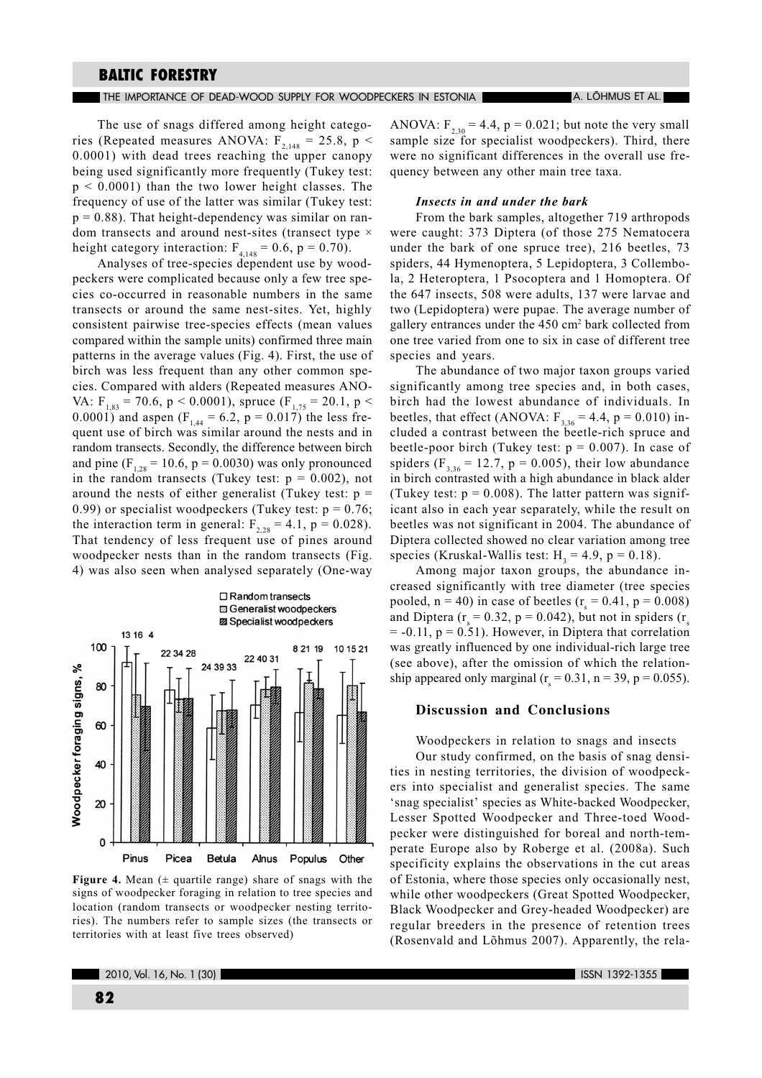THE IMPORTANCE OF DEAD-WOOD SUPPLY FOR WOODPECKERS IN ESTONIA

The use of snags differed among height categories (Repeated measures ANOVA:  $F_{2,148} = 25.8$ , p < 0.0001) with dead trees reaching the upper canopy being used significantly more frequently (Tukey test:  $p < 0.0001$ ) than the two lower height classes. The frequency of use of the latter was similar (Tukey test:  $p = 0.88$ ). That height-dependency was similar on random transects and around nest-sites (transect type  $\times$ height category interaction:  $F_{4,148} = 0.6$ , p = 0.70).

Analyses of tree-species dependent use by woodpeckers were complicated because only a few tree species co-occurred in reasonable numbers in the same transects or around the same nest-sites. Yet, highly consistent pairwise tree-species effects (mean values compared within the sample units) confirmed three main patterns in the average values (Fig. 4). First, the use of birch was less frequent than any other common species. Compared with alders (Repeated measures ANO-VA:  $F_{183}$  = 70.6, p < 0.0001), spruce ( $F_{175}$  = 20.1, p < 0.0001) and aspen ( $F_{144} = 6.2$ , p = 0.017) the less frequent use of birch was similar around the nests and in random transects. Secondly, the difference between birch and pine  $(F_{1,28} = 10.6, p = 0.0030)$  was only pronounced in the random transects (Tukey test:  $p = 0.002$ ), not around the nests of either generalist (Tukey test:  $p =$ 0.99) or specialist woodpeckers (Tukey test:  $p = 0.76$ ; the interaction term in general:  $F_{2,28} = 4.1$ ,  $p = 0.028$ ). That tendency of less frequent use of pines around woodpecker nests than in the random transects (Fig. 4) was also seen when analysed separately (One-way

图 Generalist woodpeckers 22 Specialist woodpeckers 13 16 4 100 8 21 19 10 15 21 22 34 28 22 40 31 24 39 33 Woodpecker foraging signs, % 80 60 40 20  $\Omega$ Pinus Picea Betula Alnus Populus Other

 $\square$  Random transects

Figure 4. Mean  $($   $\pm$  quartile range) share of snags with the signs of woodpecker foraging in relation to tree species and location (random transects or woodpecker nesting territories). The numbers refer to sample sizes (the transects or territories with at least five trees observed)

ANOVA:  $F_{2,30} = 4.4$ ,  $p = 0.021$ ; but note the very small sample size for specialist woodpeckers). Third, there were no significant differences in the overall use frequency between any other main tree taxa.

## Insects in and under the bark

From the bark samples, altogether 719 arthropods were caught: 373 Diptera (of those 275 Nematocera under the bark of one spruce tree), 216 beetles, 73 spiders, 44 Hymenoptera, 5 Lepidoptera, 3 Collembola, 2 Heteroptera, 1 Psocoptera and 1 Homoptera. Of the 647 insects, 508 were adults, 137 were larvae and two (Lepidoptera) were pupae. The average number of gallery entrances under the 450 cm<sup>2</sup> bark collected from one tree varied from one to six in case of different tree species and years.

The abundance of two major taxon groups varied significantly among tree species and, in both cases, birch had the lowest abundance of individuals. In beetles, that effect (ANOVA:  $F_{3,36} = 4.4$ , p = 0.010) included a contrast between the beetle-rich spruce and beetle-poor birch (Tukey test:  $p = 0.007$ ). In case of spiders ( $F_{3.36}$  = 12.7, p = 0.005), their low abundance in birch contrasted with a high abundance in black alder (Tukey test:  $p = 0.008$ ). The latter pattern was significant also in each year separately, while the result on beetles was not significant in 2004. The abundance of Diptera collected showed no clear variation among tree species (Kruskal-Wallis test:  $H_1 = 4.9$ ,  $p = 0.18$ ).

Among major taxon groups, the abundance increased significantly with tree diameter (tree species pooled,  $n = 40$ ) in case of beetles ( $r = 0.41$ ,  $p = 0.008$ ) and Diptera ( $r = 0.32$ ,  $p = 0.042$ ), but not in spiders ( $r<sub>s</sub>$  $= -0.11$ ,  $p = 0.51$ ). However, in Diptera that correlation was greatly influenced by one individual-rich large tree (see above), after the omission of which the relationship appeared only marginal ( $r = 0.31$ , n = 39, p = 0.055).

### **Discussion and Conclusions**

Woodpeckers in relation to snags and insects Our study confirmed, on the basis of snag densities in nesting territories, the division of woodpeckers into specialist and generalist species. The same 'snag specialist' species as White-backed Woodpecker, Lesser Spotted Woodpecker and Three-toed Woodpecker were distinguished for boreal and north-temperate Europe also by Roberge et al. (2008a). Such specificity explains the observations in the cut areas of Estonia, where those species only occasionally nest, while other woodpeckers (Great Spotted Woodpecker, Black Woodpecker and Grey-headed Woodpecker) are regular breeders in the presence of retention trees (Rosenvald and Lõhmus 2007). Apparently, the rela-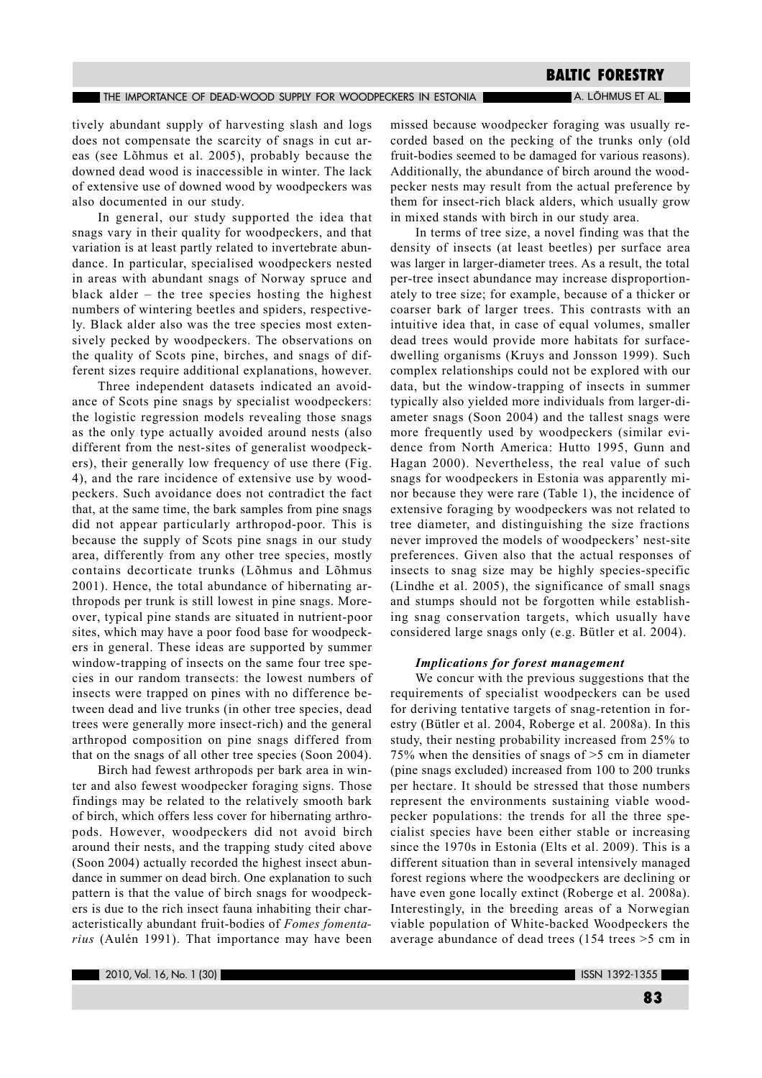#### THE IMPORTANCE OF DEAD-WOOD SUPPLY FOR WOODPECKERS IN ESTONIA

# **BALTIC FORESTRY**

A. LÕHMUS ET AL.

tively abundant supply of harvesting slash and logs does not compensate the scarcity of snags in cut areas (see Lõhmus et al. 2005), probably because the downed dead wood is inaccessible in winter. The lack of extensive use of downed wood by woodpeckers was also documented in our study.

In general, our study supported the idea that snags vary in their quality for woodpeckers, and that variation is at least partly related to invertebrate abundance. In particular, specialised woodpeckers nested in areas with abundant snags of Norway spruce and black alder - the tree species hosting the highest numbers of wintering beetles and spiders, respectively. Black alder also was the tree species most extensively pecked by woodpeckers. The observations on the quality of Scots pine, birches, and snags of different sizes require additional explanations, however.

Three independent datasets indicated an avoidance of Scots pine snags by specialist woodpeckers: the logistic regression models revealing those snags as the only type actually avoided around nests (also different from the nest-sites of generalist woodpeckers), their generally low frequency of use there (Fig. 4), and the rare incidence of extensive use by woodpeckers. Such avoidance does not contradict the fact that, at the same time, the bark samples from pine snags did not appear particularly arthropod-poor. This is because the supply of Scots pine snags in our study area, differently from any other tree species, mostly contains decorticate trunks (Lõhmus and Lõhmus 2001). Hence, the total abundance of hibernating arthropods per trunk is still lowest in pine snags. Moreover, typical pine stands are situated in nutrient-poor sites, which may have a poor food base for woodpeckers in general. These ideas are supported by summer window-trapping of insects on the same four tree species in our random transects: the lowest numbers of insects were trapped on pines with no difference between dead and live trunks (in other tree species, dead trees were generally more insect-rich) and the general arthropod composition on pine snags differed from that on the snags of all other tree species (Soon 2004).

Birch had fewest arthropods per bark area in winter and also fewest woodpecker foraging signs. Those findings may be related to the relatively smooth bark of birch, which offers less cover for hibernating arthropods. However, woodpeckers did not avoid birch around their nests, and the trapping study cited above (Soon 2004) actually recorded the highest insect abundance in summer on dead birch. One explanation to such pattern is that the value of birch snags for woodpeckers is due to the rich insect fauna inhabiting their characteristically abundant fruit-bodies of Fomes fomentarius (Aulén 1991). That importance may have been

missed because woodpecker foraging was usually recorded based on the pecking of the trunks only (old fruit-bodies seemed to be damaged for various reasons). Additionally, the abundance of birch around the woodpecker nests may result from the actual preference by them for insect-rich black alders, which usually grow in mixed stands with birch in our study area.

In terms of tree size, a novel finding was that the density of insects (at least beetles) per surface area was larger in larger-diameter trees. As a result, the total per-tree insect abundance may increase disproportionately to tree size; for example, because of a thicker or coarser bark of larger trees. This contrasts with an intuitive idea that, in case of equal volumes, smaller dead trees would provide more habitats for surfacedwelling organisms (Kruys and Jonsson 1999). Such complex relationships could not be explored with our data, but the window-trapping of insects in summer typically also yielded more individuals from larger-diameter snags (Soon 2004) and the tallest snags were more frequently used by woodpeckers (similar evidence from North America: Hutto 1995, Gunn and Hagan 2000). Nevertheless, the real value of such snags for woodpeckers in Estonia was apparently minor because they were rare (Table 1), the incidence of extensive foraging by woodpeckers was not related to tree diameter, and distinguishing the size fractions never improved the models of woodpeckers' nest-site preferences. Given also that the actual responses of insects to snag size may be highly species-specific (Lindhe et al. 2005), the significance of small snags and stumps should not be forgotten while establishing snag conservation targets, which usually have considered large snags only (e.g. Bütler et al. 2004).

## **Implications for forest management**

We concur with the previous suggestions that the requirements of specialist woodpeckers can be used for deriving tentative targets of snag-retention in forestry (Bütler et al. 2004, Roberge et al. 2008a). In this study, their nesting probability increased from 25% to 75% when the densities of snags of  $>5$  cm in diameter (pine snags excluded) increased from 100 to 200 trunks per hectare. It should be stressed that those numbers represent the environments sustaining viable woodpecker populations: the trends for all the three specialist species have been either stable or increasing since the 1970s in Estonia (Elts et al. 2009). This is a different situation than in several intensively managed forest regions where the woodpeckers are declining or have even gone locally extinct (Roberge et al. 2008a). Interestingly, in the breeding areas of a Norwegian viable population of White-backed Woodpeckers the average abundance of dead trees  $(154$  trees  $>5$  cm in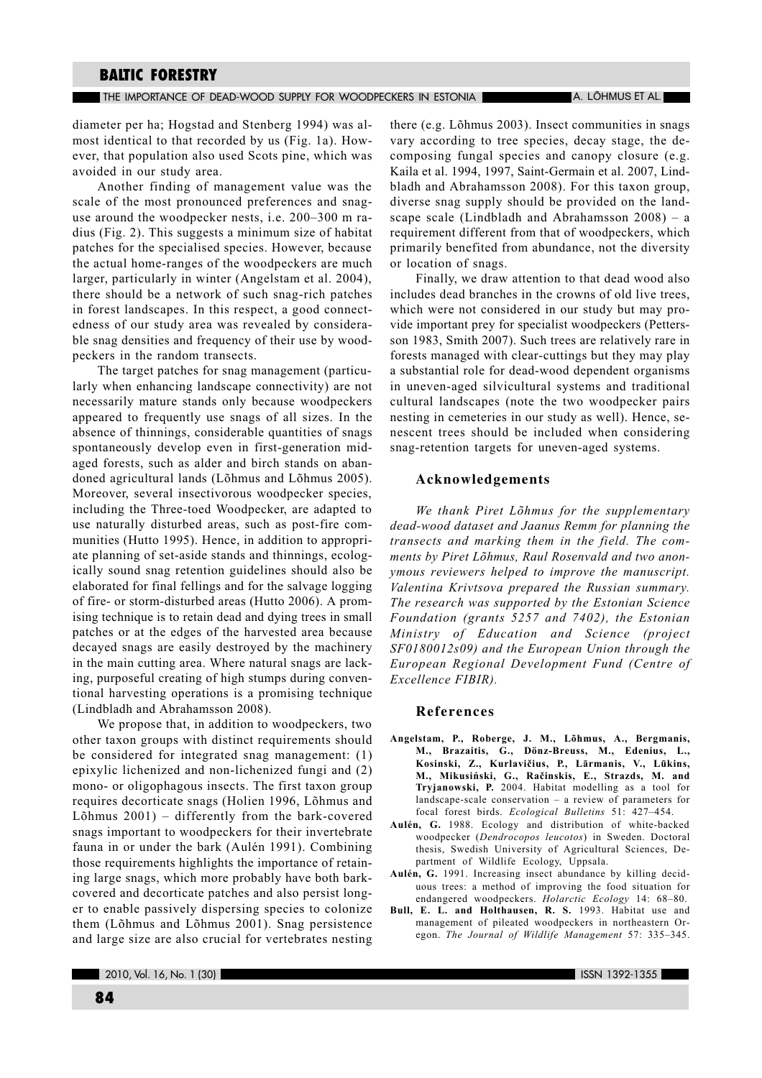#### THE IMPORTANCE OF DEAD-WOOD SUPPLY FOR WOODPECKERS IN ESTONIA THE THAN LOHMUS ET ALL

diameter per ha; Hogstad and Stenberg 1994) was almost identical to that recorded by us (Fig. 1a). However, that population also used Scots pine, which was avoided in our study area.

Another finding of management value was the scale of the most pronounced preferences and snaguse around the woodpecker nests, i.e.  $200-300$  m radius (Fig. 2). This suggests a minimum size of habitat patches for the specialised species. However, because the actual home-ranges of the woodpeckers are much larger, particularly in winter (Angelstam et al. 2004), there should be a network of such snag-rich patches in forest landscapes. In this respect, a good connectedness of our study area was revealed by considerable snag densities and frequency of their use by woodpeckers in the random transects.

The target patches for snag management (particularly when enhancing landscape connectivity) are not necessarily mature stands only because woodpeckers appeared to frequently use snags of all sizes. In the absence of thinnings, considerable quantities of snags spontaneously develop even in first-generation midaged forests, such as alder and birch stands on abandoned agricultural lands (Lõhmus and Lõhmus 2005). Moreover, several insectivorous woodpecker species, including the Three-toed Woodpecker, are adapted to use naturally disturbed areas, such as post-fire communities (Hutto 1995). Hence, in addition to appropriate planning of set-aside stands and thinnings, ecologically sound snag retention guidelines should also be elaborated for final fellings and for the salvage logging of fire- or storm-disturbed areas (Hutto 2006). A promising technique is to retain dead and dying trees in small patches or at the edges of the harvested area because decayed snags are easily destroyed by the machinery in the main cutting area. Where natural snags are lacking, purposeful creating of high stumps during conventional harvesting operations is a promising technique (Lindbladh and Abrahamsson 2008).

We propose that, in addition to woodpeckers, two other taxon groups with distinct requirements should be considered for integrated snag management: (1) epixylic lichenized and non-lichenized fungi and (2) mono- or oligophagous insects. The first taxon group requires decorticate snags (Holien 1996, Lõhmus and Lõhmus 2001) - differently from the bark-covered snags important to woodpeckers for their invertebrate fauna in or under the bark (Aulén 1991). Combining those requirements highlights the importance of retaining large snags, which more probably have both barkcovered and decorticate patches and also persist longer to enable passively dispersing species to colonize them (Lõhmus and Lõhmus 2001). Snag persistence and large size are also crucial for vertebrates nesting

there (e.g. Lõhmus 2003). Insect communities in snags vary according to tree species, decay stage, the decomposing fungal species and canopy closure (e.g. Kaila et al. 1994, 1997, Saint-Germain et al. 2007, Lindbladh and Abrahamsson 2008). For this taxon group, diverse snag supply should be provided on the landscape scale (Lindbladh and Abrahamsson  $2008$ ) – a requirement different from that of woodpeckers, which primarily benefited from abundance, not the diversity or location of snags.

Finally, we draw attention to that dead wood also includes dead branches in the crowns of old live trees, which were not considered in our study but may provide important prey for specialist woodpeckers (Pettersson 1983, Smith 2007). Such trees are relatively rare in forests managed with clear-cuttings but they may play a substantial role for dead-wood dependent organisms in uneven-aged silvicultural systems and traditional cultural landscapes (note the two woodpecker pairs nesting in cemeteries in our study as well). Hence, senescent trees should be included when considering snag-retention targets for uneven-aged systems.

## Acknowledgements

We thank Piret Lõhmus for the supplementary dead-wood dataset and Jaanus Remm for planning the transects and marking them in the field. The comments by Piret Lõhmus, Raul Rosenvald and two anonymous reviewers helped to improve the manuscript. Valentina Krivtsova prepared the Russian summary. The research was supported by the Estonian Science Foundation (grants 5257 and 7402), the Estonian Ministry of Education and Science (project  $SF0180012s09$ ) and the European Union through the European Regional Development Fund (Centre of Excellence FIBIR).

### **References**

- Angelstam, P., Roberge, J. M., Lõhmus, A., Bergmanis, M., Brazaitis, G., Dönz-Breuss, M., Edenius, L., Kosinski, Z., Kurlavičius, P., Lārmanis, V., Lūkins, M., Mikusiński, G., Račinskis, E., Strazds, M. and Tryjanowski, P. 2004. Habitat modelling as a tool for landscape-scale conservation  $-$  a review of parameters for focal forest birds. Ecological Bulletins 51: 427-454.
- Aulén, G. 1988. Ecology and distribution of white-backed woodpecker (Dendrocopos leucotos) in Sweden. Doctoral thesis, Swedish University of Agricultural Sciences, Department of Wildlife Ecology, Uppsala.
- Aulén, G. 1991. Increasing insect abundance by killing deciduous trees: a method of improving the food situation for endangered woodpeckers. Holarctic Ecology 14: 68-80.
- Bull, E. L. and Holthausen, R. S. 1993. Habitat use and management of pileated woodpeckers in northeastern Oregon. The Journal of Wildlife Management 57: 335-345.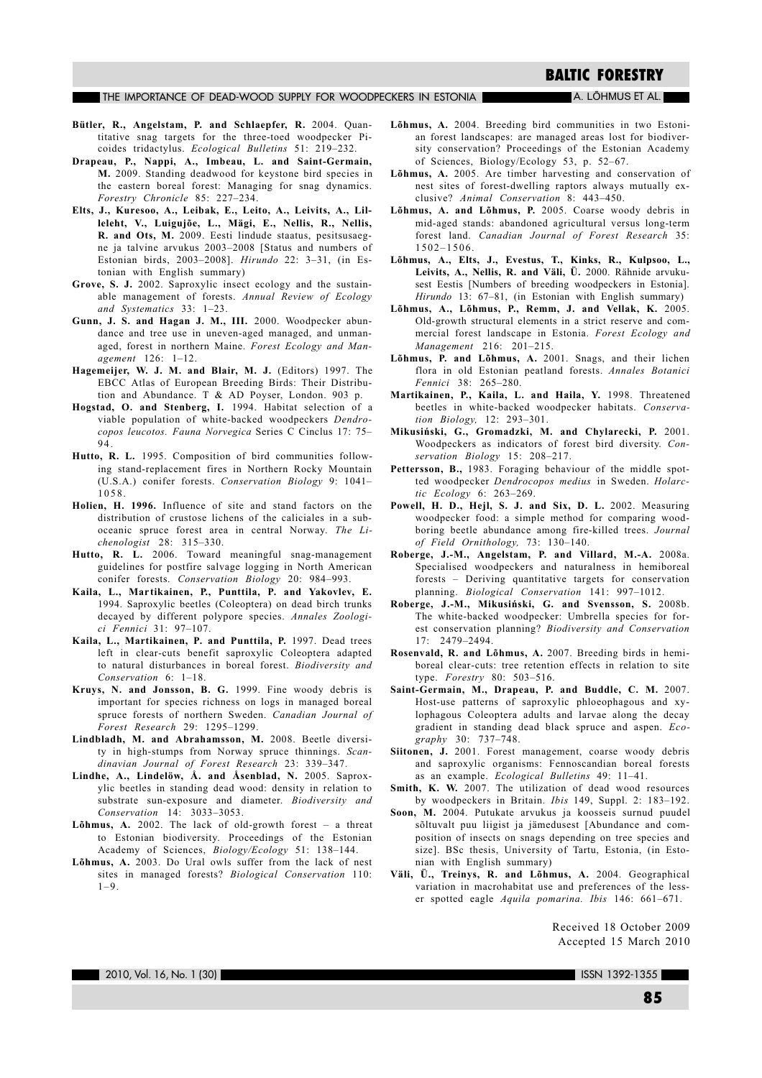#### THE IMPORTANCE OF DEAD-WOOD SUPPLY FOR WOODPECKERS IN ESTONIA

A. LÕHMUS ET AL.

- Bütler, R., Angelstam, P. and Schlaepfer, R. 2004. Quantitative snag targets for the three-toed woodpecker Picoides tridactylus. Ecological Bulletins 51: 219-232.
- Drapeau, P., Nappi, A., Imbeau, L. and Saint-Germain, M. 2009. Standing deadwood for keystone bird species in the eastern boreal forest: Managing for snag dynamics. Forestry Chronicle 85: 227-234.
- Elts, J., Kuresoo, A., Leibak, E., Leito, A., Leivits, A., Lilleleht, V., Luigujõe, L., Mägi, E., Nellis, R., Nellis, R. and Ots, M. 2009. Eesti lindude staatus, pesitsusaegne ja talvine arvukus 2003-2008 [Status and numbers of Estonian birds, 2003-2008]. Hirundo 22: 3-31, (in Estonian with English summary)
- Grove, S. J. 2002. Saproxylic insect ecology and the sustainable management of forests. Annual Review of Ecology and Systematics  $33: 1-23$ .
- Gunn, J. S. and Hagan J. M., III. 2000. Woodpecker abundance and tree use in uneven-aged managed, and unmanaged, forest in northern Maine. Forest Ecology and Management 126: 1-12.
- Hagemeijer, W. J. M. and Blair, M. J. (Editors) 1997. The EBCC Atlas of European Breeding Birds: Their Distribution and Abundance. T & AD Poyser, London. 903 p.
- Hogstad, O. and Stenberg, I. 1994. Habitat selection of a viable population of white-backed woodpeckers Dendrocopos leucotos. Fauna Norvegica Series C Cinclus 17: 75-94
- Hutto, R. L. 1995. Composition of bird communities following stand-replacement fires in Northern Rocky Mountain (U.S.A.) conifer forests. Conservation Biology 9: 1041-1058
- Holien, H. 1996. Influence of site and stand factors on the distribution of crustose lichens of the caliciales in a suboceanic spruce forest area in central Norway. The Li $chenologist 28: 315-330.$
- Hutto, R. L. 2006. Toward meaningful snag-management guidelines for postfire salvage logging in North American conifer forests. Conservation Biology 20: 984-993.
- Kaila, L., Martikainen, P., Punttila, P. and Yakovlev, E. 1994. Saproxylic beetles (Coleoptera) on dead birch trunks decayed by different polypore species. Annales Zoologici Fennici 31: 97-107.
- Kaila, L., Martikainen, P. and Punttila, P. 1997. Dead trees left in clear-cuts benefit saproxylic Coleoptera adapted to natural disturbances in boreal forest. Biodiversity and Conservation 6: 1-18.
- Kruys, N. and Jonsson, B. G. 1999. Fine woody debris is important for species richness on logs in managed boreal spruce forests of northern Sweden. Canadian Journal of  $Forest$  Research  $29 \cdot 1295 - 1299$
- Lindbladh, M. and Abrahamsson, M. 2008. Beetle diversity in high-stumps from Norway spruce thinnings. Scandinavian Journal of Forest Research 23: 339-347.
- Lindhe, A., Lindelöw, Å. and Åsenblad, N. 2005. Saproxylic beetles in standing dead wood: density in relation to substrate sun-exposure and diameter. Biodiversity and Conservation 14: 3033-3053.
- Lõhmus, A. 2002. The lack of old-growth forest a threat to Estonian biodiversity. Proceedings of the Estonian Academy of Sciences, Biology/Ecology 51: 138-144.
- Lõhmus, A. 2003. Do Ural owls suffer from the lack of nest sites in managed forests? Biological Conservation 110:  $1 - 9$ .
- Lõhmus, A. 2004. Breeding bird communities in two Estonian forest landscapes: are managed areas lost for biodiversity conservation? Proceedings of the Estonian Academy of Sciences, Biology/Ecology 53, p. 52-67.
- Lõhmus, A. 2005. Are timber harvesting and conservation of nest sites of forest-dwelling raptors always mutually exclusive? Animal Conservation 8: 443-450.
- Lõhmus, A. and Lõhmus, P. 2005. Coarse woody debris in mid-aged stands: abandoned agricultural versus long-term forest land. Canadian Journal of Forest Research 35:  $1502 - 1506$ .
- Lõhmus, A., Elts, J., Evestus, T., Kinks, R., Kulpsoo, L., Leivits, A., Nellis, R. and Väli, Ü. 2000. Rähnide arvukusest Eestis [Numbers of breeding woodpeckers in Estonia]. Hirundo 13: 67-81, (in Estonian with English summary)
- Lõhmus, A., Lõhmus, P., Remm, J. and Vellak, K. 2005. Old-growth structural elements in a strict reserve and commercial forest landscape in Estonia. Forest Ecology and Management 216:  $201-215$ .
- Lõhmus, P. and Lõhmus, A. 2001. Snags, and their lichen flora in old Estonian peatland forests. Annales Botanici Fennici 38: 265-280.
- Martikainen, P., Kaila, L. and Haila, Y. 1998. Threatened beetles in white-backed woodpecker habitats. Conservation Biology, 12: 293-301.
- Mikusiński, G., Gromadzki, M. and Chylarecki, P. 2001. Woodpeckers as indicators of forest bird diversity. Conservation Biology 15: 208-217.
- Pettersson, B., 1983. Foraging behaviour of the middle spotted woodpecker Dendrocopos medius in Sweden. Holarctic Ecology 6: 263-269.
- Powell, H. D., Hejl, S. J. and Six, D. L. 2002. Measuring woodpecker food: a simple method for comparing woodboring beetle abundance among fire-killed trees. Journal of Field Ornithology, 73: 130-140.
- Roberge, J.-M., Angelstam, P. and Villard, M.-A. 2008a. Specialised woodpeckers and naturalness in hemiboreal forests - Deriving quantitative targets for conservation planning. Biological Conservation 141: 997-1012.
- Roberge, J.-M., Mikusiński, G. and Svensson, S. 2008b. The white-backed woodpecker: Umbrella species for forest conservation planning? Biodiversity and Conservation  $17: 2479 - 2494.$
- Rosenvald, R. and Lõhmus, A. 2007. Breeding birds in hemiboreal clear-cuts: tree retention effects in relation to site type. Forestry 80: 503-516.
- Saint-Germain, M., Drapeau, P. and Buddle, C. M. 2007. Host-use patterns of saproxylic phloeophagous and xylophagous Coleoptera adults and larvae along the decay gradient in standing dead black spruce and aspen. Ecography 30: 737-748.
- Siitonen, J. 2001. Forest management, coarse woody debris and saproxylic organisms: Fennoscandian boreal forests as an example. Ecological Bulletins 49: 11-41.
- Smith, K. W. 2007. The utilization of dead wood resources by woodpeckers in Britain. Ibis 149, Suppl. 2: 183-192.
- Soon, M. 2004. Putukate arvukus ja koosseis surnud puudel sõltuvalt puu liigist ja jämedusest [Abundance and composition of insects on snags depending on tree species and size]. BSc thesis, University of Tartu, Estonia, (in Estonian with English summary)
- Väli, Ü., Treinys, R. and Lõhmus, A. 2004. Geographical variation in macrohabitat use and preferences of the lesser spotted eagle Aquila pomarina. Ibis 146: 661-671.

Received 18 October 2009 Accepted 15 March 2010

 $2010.$  Vol. 16, No. 1 (30)

ISSN 1392-1355